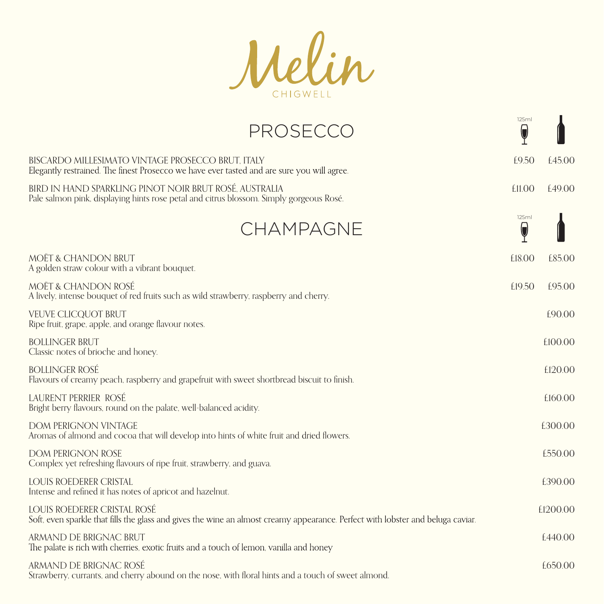Melin

| $\overline{\mathbb{Q}}$          |          |
|----------------------------------|----------|
| £9.50                            | f.45.00  |
| £11.00                           | f49.00   |
| 125ml<br>$\overline{\mathsf{Q}}$ |          |
| £18.00                           | £85.00   |
| £19.50                           | £95.00   |
|                                  | £90.00   |
|                                  | £100.00  |
|                                  | £120.00  |
|                                  | £160.00  |
|                                  | £300.00  |
|                                  | £550.00  |
|                                  | £390.00  |
|                                  | £1200.00 |
|                                  | f.440.00 |
|                                  | £650.00  |
|                                  |          |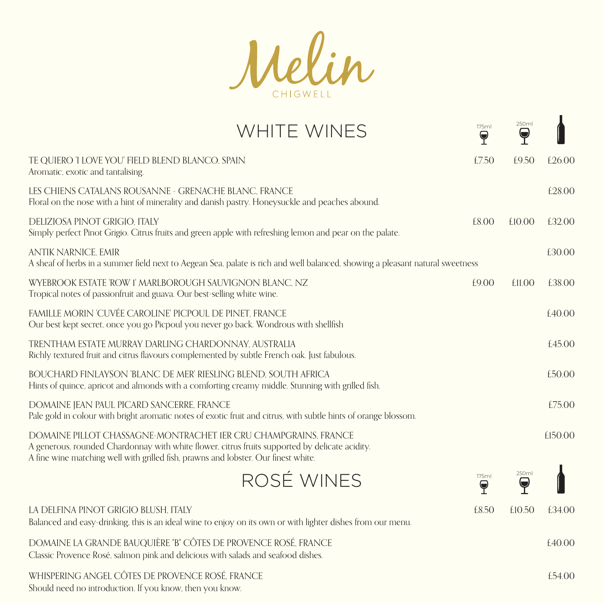Melin

| <b>WHITE WINES</b>                                                                                                                                                                                                                                      | 175ml<br>$\bf \Theta$      | 250ml<br>$\blacktriangledown$ |         |
|---------------------------------------------------------------------------------------------------------------------------------------------------------------------------------------------------------------------------------------------------------|----------------------------|-------------------------------|---------|
| TE QUIERO 'I LOVE YOU' FIELD BLEND BLANCO, SPAIN<br>Aromatic, exotic and tantalising.                                                                                                                                                                   | £7.50                      | £9.50                         | £26.00  |
| LES CHIENS CATALANS ROUSANNE - GRENACHE BLANC, FRANCE<br>Floral on the nose with a hint of minerality and danish pastry. Honeysuckle and peaches abound.                                                                                                |                            |                               | £28.00  |
| DELIZIOSA PINOT GRIGIO, ITALY<br>Simply perfect Pinot Grigio. Citrus fruits and green apple with refreshing lemon and pear on the palate.                                                                                                               | £8.00                      | £10.00                        | £32.00  |
| <b>ANTIK NARNICE, EMIR</b><br>A sheaf of herbs in a summer field next to Aegean Sea, palate is rich and well balanced, showing a pleasant natural sweetness                                                                                             |                            |                               | £30.00  |
| WYEBROOK ESTATE 'ROW 1' MARLBOROUGH SAUVIGNON BLANC, NZ<br>Tropical notes of passionfruit and guava. Our best-selling white wine.                                                                                                                       | £9.00                      | £11.00                        | £38.00  |
| FAMILLE MORIN 'CUVÉE CAROLINE' PICPOUL DE PINET, FRANCE<br>Our best kept secret, once you go Picpoul you never go back. Wondrous with shellfish                                                                                                         |                            |                               | £40.00  |
| TRENTHAM ESTATE MURRAY DARLING CHARDONNAY, AUSTRALIA<br>Richly textured fruit and citrus flavours complemented by subtle French oak. Just fabulous.                                                                                                     |                            |                               | £45.00  |
| BOUCHARD FINLAYSON 'BLANC DE MER' RIESLING BLEND, SOUTH AFRICA<br>Hints of quince, apricot and almonds with a comforting creamy middle. Stunning with grilled fish.                                                                                     |                            |                               | £50.00  |
| DOMAINE JEAN PAUL PICARD SANCERRE, FRANCE<br>Pale gold in colour with bright aromatic notes of exotic fruit and citrus, with subtle hints of orange blossom.                                                                                            |                            |                               | £75.00  |
| DOMAINE PILLOT CHASSAGNE-MONTRACHET IER CRU CHAMPGRAINS. FRANCE<br>A generous, rounded Chardonnay with white flower, citrus fruits supported by delicate acidity.<br>A fine wine matching well with grilled fish, prawns and lobster. Our finest white. |                            |                               | £150.00 |
| ROSÉ WINES                                                                                                                                                                                                                                              | 175ml<br>$\mathbf{\Theta}$ | 250ml<br>Y                    |         |
| LA DELFINA PINOT GRIGIO BLUSH, ITALY<br>Balanced and easy-drinking, this is an ideal wine to enjoy on its own or with lighter dishes from our menu.                                                                                                     | £8.50                      | £10.50                        | £34.00  |
| DOMAINE LA GRANDE BAUQUIÈRE "B" CÔTES DE PROVENCE ROSÉ, FRANCE<br>Classic Provence Rosé, salmon pink and delicious with salads and seafood dishes.                                                                                                      |                            |                               | £40.00  |
| WHISPERING ANGEL CÔTES DE PROVENCE ROSÉ, FRANCE<br>Should need no introduction. If you know, then you know.                                                                                                                                             |                            |                               | £54.00  |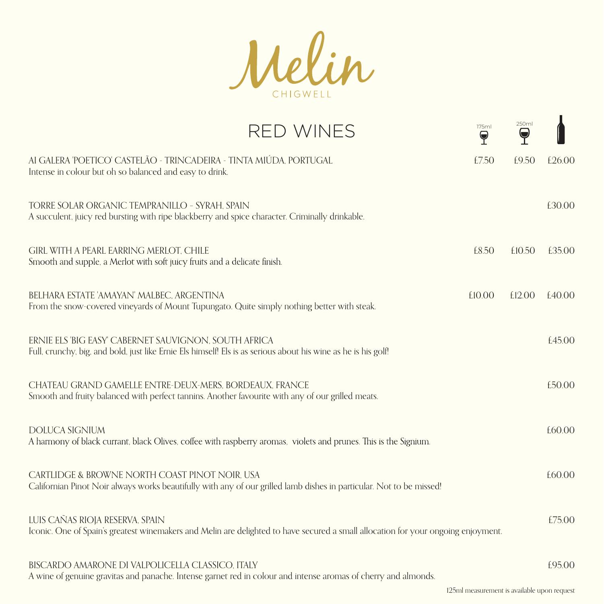

| <b>RED WINES</b>                                                                                                                                                        | 175ml<br>$\blacktriangledown$ | 250ml<br>$\blacktriangledown$ |        |
|-------------------------------------------------------------------------------------------------------------------------------------------------------------------------|-------------------------------|-------------------------------|--------|
| AI GALERA 'POETICO' CASTELÃO - TRINCADEIRA - TINTA MIÚDA, PORTUGAL<br>Intense in colour but oh so balanced and easy to drink.                                           | £7.50                         | £9.50                         | £26.00 |
| TORRE SOLAR ORGANIC TEMPRANILLO - SYRAH, SPAIN<br>A succulent, juicy red bursting with ripe blackberry and spice character. Criminally drinkable.                       |                               |                               | £30.00 |
| GIRL WITH A PEARL EARRING MERLOT, CHILE<br>Smooth and supple, a Merlot with soft juicy fruits and a delicate finish.                                                    | £8.50                         | £10.50                        | £35.00 |
| BELHARA ESTATE 'AMAYAN' MALBEC, ARGENTINA<br>From the snow-covered vineyards of Mount Tupungato. Quite simply nothing better with steak.                                | £10.00                        | £12.00                        | £40.00 |
| ERNIE ELS 'BIG EASY' CABERNET SAUVIGNON, SOUTH AFRICA<br>Full, crunchy, big, and bold, just like Ernie Els himself! Els is as serious about his wine as he is his golf! |                               |                               | £45.00 |
| CHATEAU GRAND GAMELLE ENTRE-DEUX-MERS, BORDEAUX, FRANCE<br>Smooth and fruity balanced with perfect tannins. Another favourite with any of our grilled meats.            |                               |                               | £50.00 |
| <b>DOLUCA SIGNIUM</b><br>A harmony of black currant, black Olives, coffee with raspberry aromas, violets and prunes. This is the Signium.                               |                               |                               | £60.00 |
| CARTLIDGE & BROWNE NORTH COAST PINOT NOIR, USA<br>Californian Pinot Noir always works beautifully with any of our grilled lamb dishes in particular. Not to be missed!  |                               |                               | £60.00 |
| LUIS CAÑAS RIOJA RESERVA, SPAIN<br>Iconic. One of Spain's greatest winemakers and Melin are delighted to have secured a small allocation for your ongoing enjoyment.    |                               |                               | £75.00 |
| BISCARDO AMARONE DI VALPOLICELLA CLASSICO, ITALY<br>A wine of genuine gravitas and panache. Intense garnet red in colour and intense aromas of cherry and almonds.      |                               |                               | £95.00 |

125ml measurement is available upon request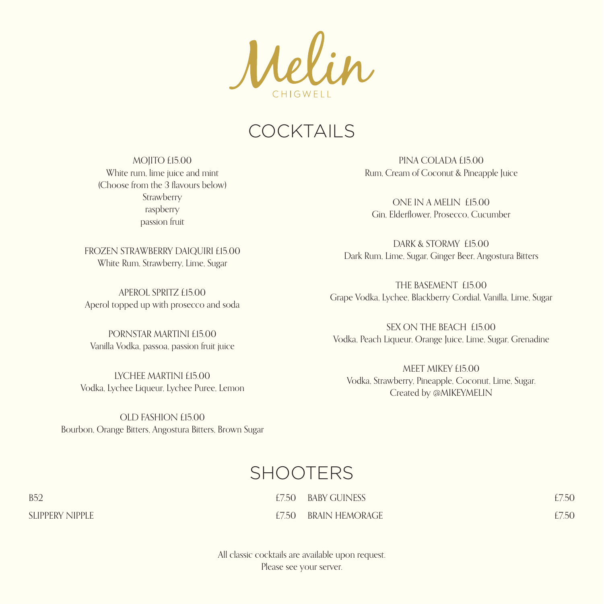$\lambda$ elin

## **COCKTAILS**

MOJITO £15.00 White rum, lime juice and mint (Choose from the 3 flavours below) **Strawberry** raspberry passion fruit

FROZEN STRAWBERRY DAIQUIRI £15.00 White Rum, Strawberry, Lime, Sugar

APEROL SPRITZ £15.00 Aperol topped up with prosecco and soda

PORNSTAR MARTINI £15.00 Vanilla Vodka, passoa, passion fruit juice

LYCHEE MARTINI £15.00 Vodka, Lychee Liqueur, Lychee Puree, Lemon

OLD FASHION £15.00 Bourbon, Orange Bitters, Angostura Bitters, Brown Sugar

PINA COLADA £15.00 Rum, Cream of Coconut & Pineapple Juice

ONE IN A MELIN £15.00 Gin, Elderflower, Prosecco, Cucumber

DARK & STORMY £15.00 Dark Rum, Lime, Sugar, Ginger Beer, Angostura Bitters

THE BASEMENT £15.00 Grape Vodka, Lychee, Blackberry Cordial, Vanilla, Lime, Sugar

SEX ON THE BEACH £15.00 Vodka, Peach Liqueur, Orange Juice, Lime, Sugar, Grenadine

MEET MIKEY £15.00 Vodka, Strawberry, Pineapple, Coconut, Lime, Sugar. Created by @MIKEYMELIN

## SHOOTERS

| E7.50 BABY GUINESS   | £7.50 |
|----------------------|-------|
| £7.50 BRAIN HEMORAGE | £7.50 |

All classic cocktails are available upon request. Please see your server.

 $B52$   $E7.50$ SLIPPERY NIPPLE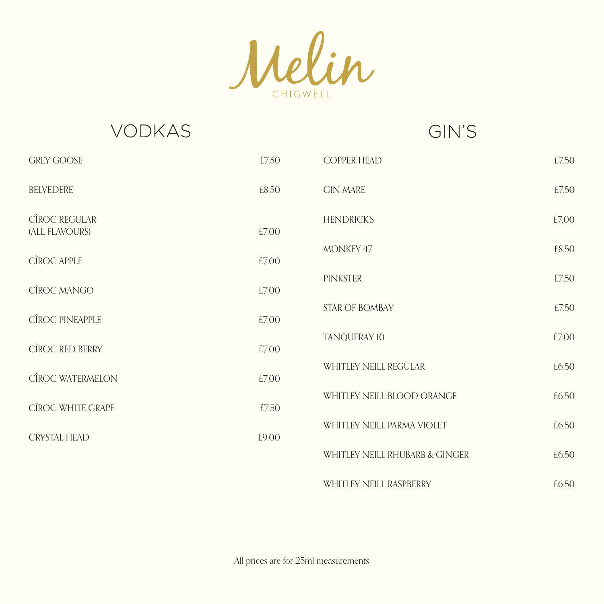Melin

VODKAS GIN'S

| <b>GREY GOOSE</b>                      | £7.50 | <b>COPPER HEAD</b>             | £7.50 |
|----------------------------------------|-------|--------------------------------|-------|
| <b>BELVEDERE</b>                       | £8.50 | <b>GIN MARE</b>                | £7.50 |
| <b>CÎROC REGULAR</b><br>(ALL FLAVOURS) | £7.00 | <b>HENDRICKS</b>               | £7.00 |
| CÎROC APPLE                            | £7.00 | MONKEY 47                      | £8.50 |
| CÎROC MANGO                            | £7.00 | PINKSTER                       | £7.50 |
| CÎROC PINEAPPLE                        | £7.00 | <b>STAR OF BOMBAY</b>          | £7.50 |
| CÎROC RED BERRY                        | £7.00 | TANQUERAY 10                   | £7.00 |
| CÎROC WATERMELON                       | £7.00 | <b>WHITLEY NEILL REGULAR</b>   | £6.50 |
| CÎROC WHITE GRAPE                      | £7.50 | WHITLEY NEILL BLOOD ORANGE     | £6.50 |
| <b>CRYSTAL HEAD</b>                    | £9.00 | WHITLEY NEILL PARMA VIOLET     | £6.50 |
|                                        |       | WHITLEY NEILL RHUBARB & GINGER | £6.50 |

WHITLEY NEILL RASPBERRY **EXAMPLE 120 FM EXAMPLE 2018** 

All prices are for 25ml measurements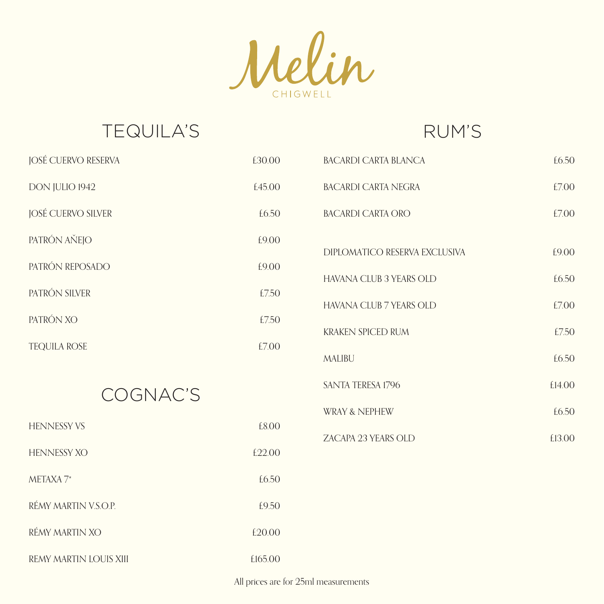Melin CHIGWELL

# TEQUILA'S RUM'S

| <b>JOSÉ CUERVO RESERVA</b> | £30.00  | <b>BACARDI CARTA BLANCA</b>    | £6.50  |
|----------------------------|---------|--------------------------------|--------|
| DON JULIO 1942             | £45.00  | <b>BACARDI CARTA NEGRA</b>     | £7.00  |
| JOSÉ CUERVO SILVER         | £6.50   | <b>BACARDI CARTA ORO</b>       | £7.00  |
| PATRÓN AŇEJO               | £9.00   | DIPLOMATICO RESERVA EXCLUSIVA  | £9.00  |
| PATRÓN REPOSADO            | £9.00   | <b>HAVANA CLUB 3 YEARS OLD</b> | £6.50  |
| PATRÓN SILVER              | £7.50   | HAVANA CLUB 7 YEARS OLD        | £7.00  |
| PATRÓN XO                  | £7.50   | <b>KRAKEN SPICED RUM</b>       | £7.50  |
| <b>TEQUILA ROSE</b>        | £7.00   | <b>MALIBU</b>                  | £6.50  |
|                            |         | <b>SANTA TERESA 1796</b>       | £14.00 |
| COGNAC'S                   |         | <b>WRAY &amp; NEPHEW</b>       | £6.50  |
| <b>HENNESSY VS</b>         | £8.00   | ZACAPA 23 YEARS OLD            | £13.00 |
| <b>HENNESSY XO</b>         | £22.00  |                                |        |
| METAXA 7*                  | £6.50   |                                |        |
| RÉMY MARTIN V.S.O.P.       | £9.50   |                                |        |
| RÉMY MARTIN XO             | £20.00  |                                |        |
| REMY MARTIN LOUIS XIII     | £165.00 |                                |        |

All prices are for 25ml measurements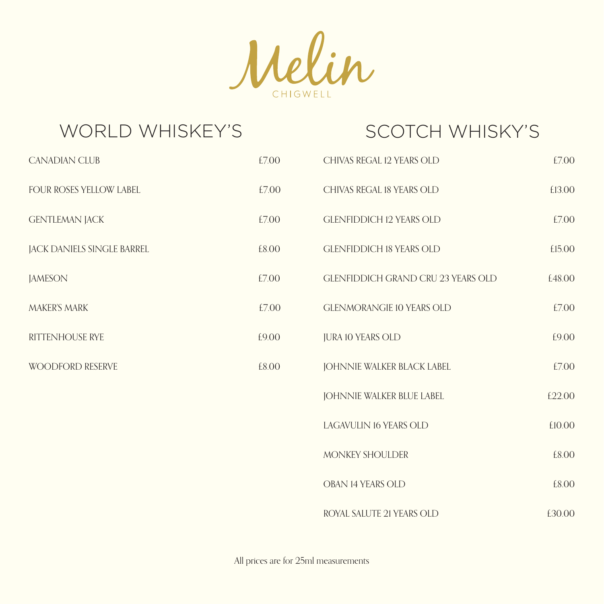

| <b>WORLD WHISKEY'S</b>     |       | <b>SCOTCH WHISKY'S</b>                    |        |
|----------------------------|-------|-------------------------------------------|--------|
| <b>CANADIAN CLUB</b>       | £7.00 | CHIVAS REGAL 12 YEARS OLD                 | £7.00  |
| FOUR ROSES YELLOW LABEL    | £7.00 | CHIVAS REGAL 18 YEARS OLD                 | £13.00 |
| <b>GENTLEMAN JACK</b>      | £7.00 | <b>GLENFIDDICH 12 YEARS OLD</b>           | £7.00  |
| JACK DANIELS SINGLE BARREL | £8.00 | <b>GLENFIDDICH 18 YEARS OLD</b>           | £15.00 |
| <b>JAMESON</b>             | £7.00 | <b>GLENFIDDICH GRAND CRU 23 YEARS OLD</b> | £48.00 |
| <b>MAKER'S MARK</b>        | £7.00 | <b>GLENMORANGIE 10 YEARS OLD</b>          | £7.00  |
| RITTENHOUSE RYE            | £9.00 | <b>JURA 10 YEARS OLD</b>                  | £9.00  |
| <b>WOODFORD RESERVE</b>    | £8.00 | JOHNNIE WALKER BLACK LABEL                | £7.00  |
|                            |       | JOHNNIE WALKER BLUE LABEL                 | £22.00 |
|                            |       | LAGAVULIN 16 YEARS OLD                    | £10.00 |
|                            |       | MONKEY SHOULDER                           | £8.00  |
|                            |       | OBAN 14 YEARS OLD                         | £8.00  |
|                            |       | ROYAL SALUTE 21 YEARS OLD                 | £30.00 |

All prices are for 25ml measurements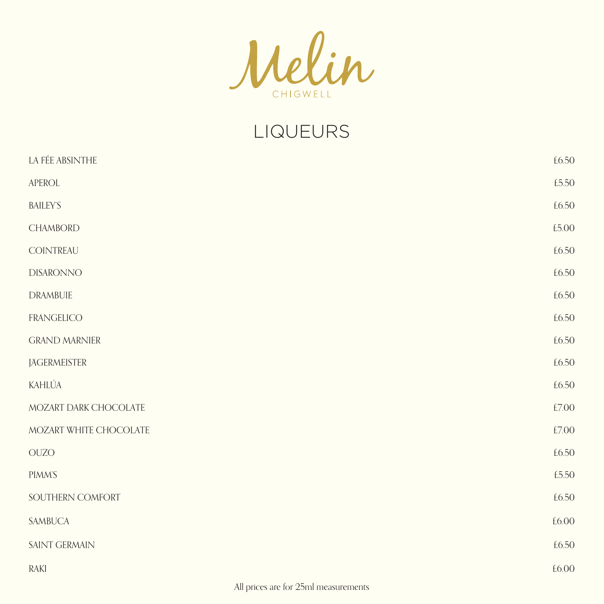

# LIQUEURS

| LA FÉE ABSINTHE                                          | £6.50 |
|----------------------------------------------------------|-------|
| APEROL                                                   | £5.50 |
| <b>BAILEY'S</b>                                          | £6.50 |
| <b>CHAMBORD</b>                                          | £5.00 |
| COINTREAU                                                | £6.50 |
| <b>DISARONNO</b>                                         | £6.50 |
| <b>DRAMBUIE</b>                                          | £6.50 |
| <b>FRANGELICO</b>                                        | £6.50 |
| <b>GRAND MARNIER</b>                                     | £6.50 |
| <b>JAGERMEISTER</b>                                      | £6.50 |
| KAHLÚA                                                   | £6.50 |
| MOZART DARK CHOCOLATE                                    | £7.00 |
| MOZART WHITE CHOCOLATE                                   | £7.00 |
| $\rm OUZO$                                               | £6.50 |
| <b>PIMM'S</b>                                            | £5.50 |
| SOUTHERN COMFORT                                         | £6.50 |
| SAMBUCA                                                  | £6.00 |
| SAINT GERMAIN                                            | £6.50 |
| RAKI                                                     | £6.00 |
| 1.11<br>$\sim$ $\sim$ $\sim$ $\sim$ $\sim$ $\sim$ $\sim$ |       |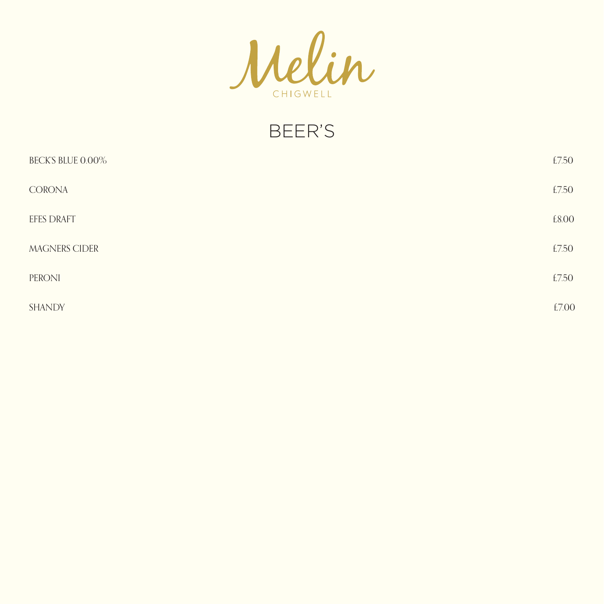

BEER'S

| <b>BECKS BLUE 0.00%</b> | £7.50 |
|-------------------------|-------|
| <b>CORONA</b>           | £7.50 |
| <b>EFES DRAFT</b>       | £8.00 |
| <b>MAGNERS CIDER</b>    | £7.50 |
| PERONI                  | £7.50 |
| <b>SHANDY</b>           | £7.00 |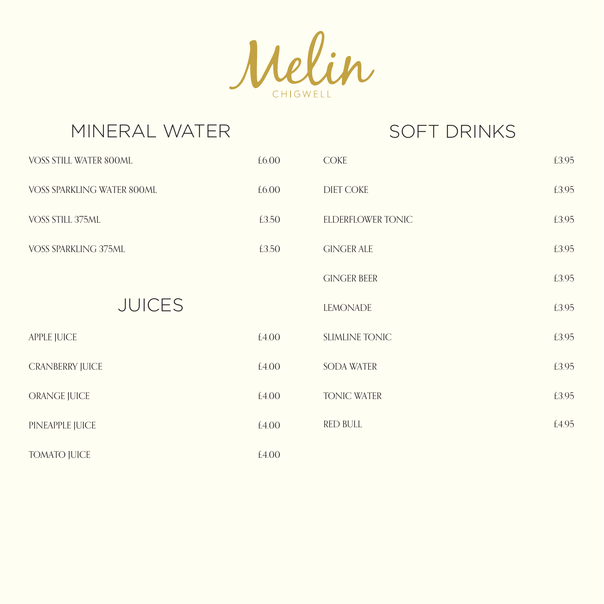

| MINERAL WATER               |       | <b>SOFT DRINKS</b>    |       |
|-----------------------------|-------|-----------------------|-------|
| VOSS STILL WATER 800ML      | £6.00 | <b>COKE</b>           | £3.95 |
| VOSS SPARKLING WATER 800ML  | £6.00 | <b>DIET COKE</b>      | £3.95 |
| VOSS STILL 375ML            | £3.50 | ELDERFLOWER TONIC     | £3.95 |
| <b>VOSS SPARKLING 375ML</b> | £3.50 | <b>GINGER ALE</b>     | £3.95 |
|                             |       | <b>GINGER BEER</b>    | £3.95 |
| <b>JUICES</b>               |       | <b>LEMONADE</b>       | £3.95 |
| <b>APPLE JUICE</b>          | £4.00 | <b>SLIMLINE TONIC</b> | £3.95 |
| <b>CRANBERRY JUICE</b>      | £4.00 | <b>SODA WATER</b>     | £3.95 |
| ORANGE JUICE                | £4.00 | <b>TONIC WATER</b>    | £3.95 |
| PINEAPPLE JUICE             | £4.00 | <b>RED BULL</b>       | £4.95 |
| <b>TOMATO JUICE</b>         | £4.00 |                       |       |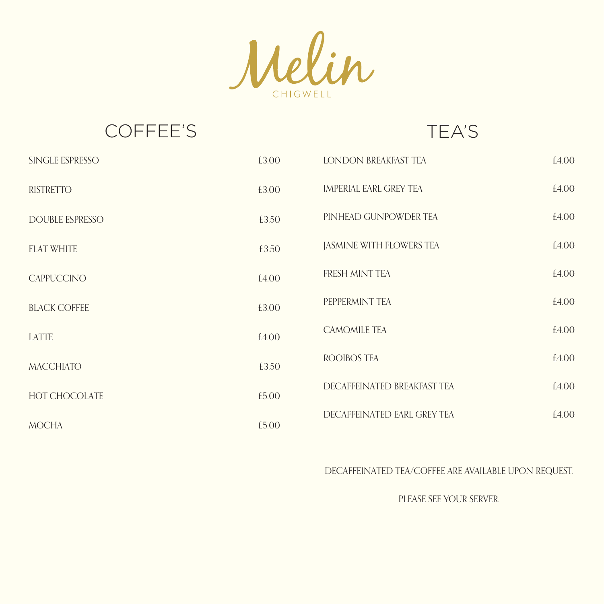Melin CHIGWELL

## COFFEE'S TEA'S

| SINGLE ESPRESSO        | £3.00 | <b>LONDON BREAKFAST TEA</b> | £4.00 |
|------------------------|-------|-----------------------------|-------|
| <b>RISTRETTO</b>       | £3.00 | IMPERIAL EARL GREY TEA      | £4.00 |
| <b>DOUBLE ESPRESSO</b> | £3.50 | PINHEAD GUNPOWDER TEA       | £4.00 |
| <b>FLAT WHITE</b>      | £3.50 | JASMINE WITH FLOWERS TEA    | £4.00 |
| <b>CAPPUCCINO</b>      | £4.00 | FRESH MINT TEA              | £4.00 |
| <b>BLACK COFFEE</b>    | £3.00 | PEPPERMINT TEA              | £4.00 |
| LATTE                  | £4.00 | <b>CAMOMILE TEA</b>         | £4.00 |
| <b>MACCHIATO</b>       | £3.50 | <b>ROOIBOS TEA</b>          | £4.00 |
| <b>HOT CHOCOLATE</b>   | £5.00 | DECAFFEINATED BREAKFAST TEA | £4.00 |
| <b>MOCHA</b>           | £5.00 | DECAFFEINATED EARL GREY TEA | £4.00 |

### DECAFFEINATED TEA/COFFEE ARE AVAILABLE UPON REQUEST.

PLEASE SEE YOUR SERVER.